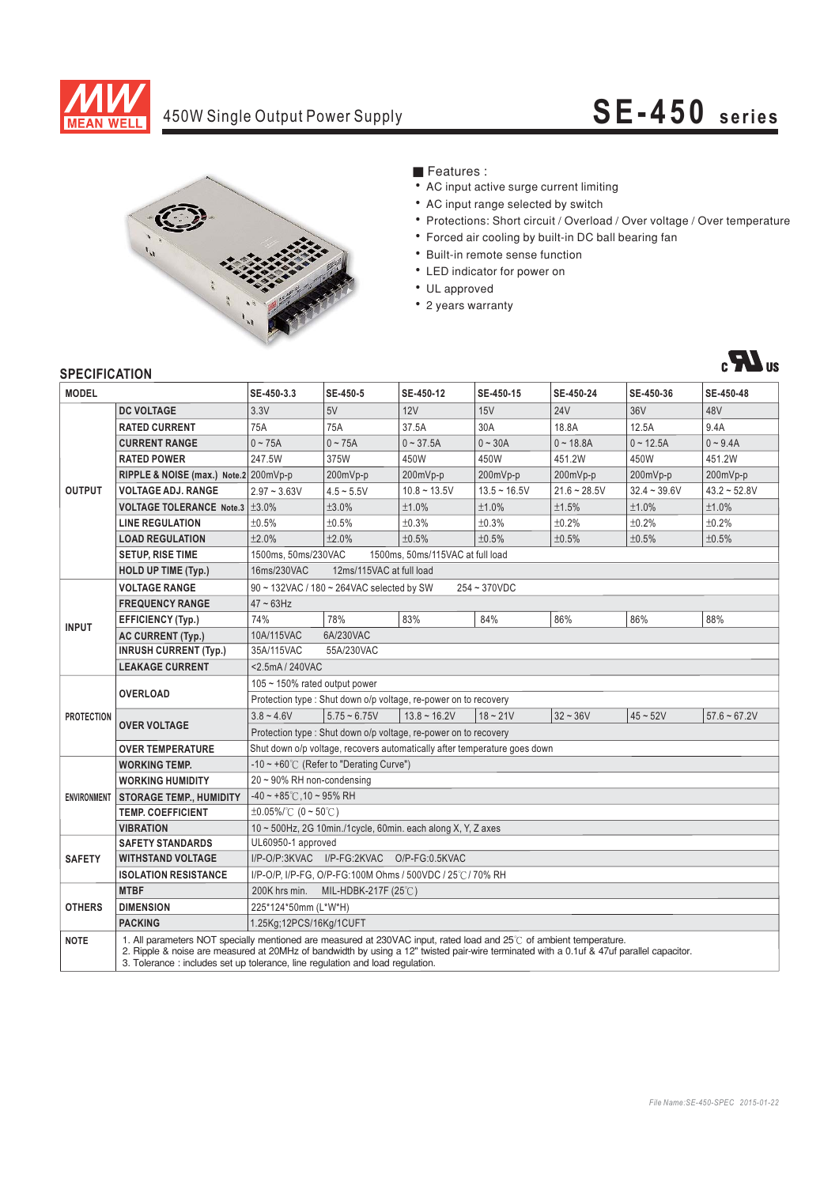

## 450W Single Output Power Supply **SE-450 series**



### ■ Features :

- AC input active surge current limiting
- AC input range selected by switch
- Protections: Short circuit / Overload / Over voltage / Over temperature
- Forced air cooling by built-in DC ball bearing fan
- Built-in remote sense function
- LED indicator for power on
- UL approved
- 2 years warranty



### **SPECIFICATION**

| <b>MODEL</b>       |                                                                                                                                                                                                                                                                                                                                                  | SE-450-3.3                                                                | SE-450-5       | SE-450-12      | SE-450-15      | SE-450-24      | SE-450-36      | SE-450-48      |
|--------------------|--------------------------------------------------------------------------------------------------------------------------------------------------------------------------------------------------------------------------------------------------------------------------------------------------------------------------------------------------|---------------------------------------------------------------------------|----------------|----------------|----------------|----------------|----------------|----------------|
| <b>OUTPUT</b>      | <b>DC VOLTAGE</b>                                                                                                                                                                                                                                                                                                                                | 3.3V                                                                      | 5V             | 12V            | 15V            | <b>24V</b>     | 36V            | 48V            |
|                    | <b>RATED CURRENT</b>                                                                                                                                                                                                                                                                                                                             | 75A                                                                       | 75A            | 37.5A          | 30A            | 18.8A          | 12.5A          | 9.4A           |
|                    | <b>CURRENT RANGE</b>                                                                                                                                                                                                                                                                                                                             | $0 - 75A$                                                                 | $0 - 75A$      | $0 - 37.5A$    | $0 - 30A$      | $0 - 18.8A$    | $0 - 12.5A$    | $0 - 9.4A$     |
|                    | <b>RATED POWER</b>                                                                                                                                                                                                                                                                                                                               | 247.5W                                                                    | 375W           | 450W           | 450W           | 451.2W         | 450W           | 451.2W         |
|                    | RIPPLE & NOISE (max.) Note.2 200mVp-p                                                                                                                                                                                                                                                                                                            |                                                                           | 200mVp-p       | 200mVp-p       | 200mVp-p       | 200mVp-p       | 200mVp-p       | $200mVp-p$     |
|                    | VOLTAGE ADJ. RANGE                                                                                                                                                                                                                                                                                                                               | $2.97 - 3.63V$                                                            | $4.5 - 5.5V$   | $10.8 - 13.5V$ | $13.5 - 16.5V$ | $21.6 - 28.5V$ | $32.4 - 39.6V$ | $43.2 - 52.8V$ |
|                    | <b>VOLTAGE TOLERANCE Note.3   ±3.0%</b>                                                                                                                                                                                                                                                                                                          |                                                                           | ±3.0%          | ±1.0%          | ±1.0%          | ±1.5%          | ±1.0%          | ±1.0%          |
|                    | <b>LINE REGULATION</b>                                                                                                                                                                                                                                                                                                                           | ±0.5%                                                                     | ±0.5%          | ±0.3%          | ±0.3%          | ±0.2%          | ±0.2%          | ±0.2%          |
|                    | <b>LOAD REGULATION</b>                                                                                                                                                                                                                                                                                                                           | ±2.0%                                                                     | ±2.0%          | ±0.5%          | ±0.5%          | ±0.5%          | ±0.5%          | ±0.5%          |
|                    | <b>SETUP, RISE TIME</b>                                                                                                                                                                                                                                                                                                                          | 1500ms, 50ms/230VAC<br>1500ms, 50ms/115VAC at full load                   |                |                |                |                |                |                |
|                    | <b>HOLD UP TIME (Typ.)</b>                                                                                                                                                                                                                                                                                                                       | 16ms/230VAC<br>12ms/115VAC at full load                                   |                |                |                |                |                |                |
| <b>INPUT</b>       | <b>VOLTAGE RANGE</b>                                                                                                                                                                                                                                                                                                                             | 90 ~ 132VAC / 180 ~ 264VAC selected by SW<br>254~370VDC                   |                |                |                |                |                |                |
|                    | <b>FREQUENCY RANGE</b>                                                                                                                                                                                                                                                                                                                           | $47 \sim 63$ Hz                                                           |                |                |                |                |                |                |
|                    | <b>EFFICIENCY (Typ.)</b>                                                                                                                                                                                                                                                                                                                         | 74%                                                                       | 78%            | 83%            | 84%            | 86%            | 86%            | 88%            |
|                    | <b>AC CURRENT (Typ.)</b>                                                                                                                                                                                                                                                                                                                         | 6A/230VAC<br>10A/115VAC                                                   |                |                |                |                |                |                |
|                    | <b>INRUSH CURRENT (Typ.)</b>                                                                                                                                                                                                                                                                                                                     | 35A/115VAC<br>55A/230VAC                                                  |                |                |                |                |                |                |
|                    | <b>LEAKAGE CURRENT</b>                                                                                                                                                                                                                                                                                                                           | <2.5mA / 240VAC                                                           |                |                |                |                |                |                |
| <b>PROTECTION</b>  | <b>OVERLOAD</b>                                                                                                                                                                                                                                                                                                                                  | 105 $\sim$ 150% rated output power                                        |                |                |                |                |                |                |
|                    |                                                                                                                                                                                                                                                                                                                                                  | Protection type: Shut down o/p voltage, re-power on to recovery           |                |                |                |                |                |                |
|                    | <b>OVER VOLTAGE</b>                                                                                                                                                                                                                                                                                                                              | $3.8 - 4.6V$                                                              | $5.75 - 6.75V$ | $13.8 - 16.2V$ | $18 - 21V$     | $32 - 36V$     | $45 - 52V$     | $57.6 - 67.2V$ |
|                    |                                                                                                                                                                                                                                                                                                                                                  | Protection type: Shut down o/p voltage, re-power on to recovery           |                |                |                |                |                |                |
|                    | <b>OVER TEMPERATURE</b>                                                                                                                                                                                                                                                                                                                          | Shut down o/p voltage, recovers automatically after temperature goes down |                |                |                |                |                |                |
| <b>ENVIRONMENT</b> | <b>WORKING TEMP.</b>                                                                                                                                                                                                                                                                                                                             | -10 ~ +60° $\mathrm{C}$ (Refer to "Derating Curve")                       |                |                |                |                |                |                |
|                    | <b>WORKING HUMIDITY</b>                                                                                                                                                                                                                                                                                                                          | 20~90% RH non-condensing                                                  |                |                |                |                |                |                |
|                    | <b>STORAGE TEMP., HUMIDITY</b>                                                                                                                                                                                                                                                                                                                   | $-40 \sim +85^{\circ}$ C, 10 ~ 95% RH                                     |                |                |                |                |                |                |
|                    | <b>TEMP. COEFFICIENT</b>                                                                                                                                                                                                                                                                                                                         | $\pm 0.05\%$ (°C (0 ~ 50°C)                                               |                |                |                |                |                |                |
|                    | <b>VIBRATION</b>                                                                                                                                                                                                                                                                                                                                 | 10~500Hz, 2G 10min./1cycle, 60min. each along X, Y, Z axes                |                |                |                |                |                |                |
| <b>SAFETY</b>      | <b>SAFETY STANDARDS</b>                                                                                                                                                                                                                                                                                                                          | UL60950-1 approved                                                        |                |                |                |                |                |                |
|                    | <b>WITHSTAND VOLTAGE</b>                                                                                                                                                                                                                                                                                                                         | I/P-O/P:3KVAC I/P-FG:2KVAC O/P-FG:0.5KVAC                                 |                |                |                |                |                |                |
|                    | <b>ISOLATION RESISTANCE</b>                                                                                                                                                                                                                                                                                                                      | I/P-O/P, I/P-FG, O/P-FG:100M Ohms / 500VDC / 25°C / 70% RH                |                |                |                |                |                |                |
| <b>OTHERS</b>      | <b>MTBF</b>                                                                                                                                                                                                                                                                                                                                      | 200K hrs min. MIL-HDBK-217F (25°C)                                        |                |                |                |                |                |                |
|                    | <b>DIMENSION</b>                                                                                                                                                                                                                                                                                                                                 | 225*124*50mm (L*W*H)                                                      |                |                |                |                |                |                |
|                    | <b>PACKING</b>                                                                                                                                                                                                                                                                                                                                   | 1.25Kg;12PCS/16Kg/1CUFT                                                   |                |                |                |                |                |                |
| <b>NOTE</b>        | 1. All parameters NOT specially mentioned are measured at 230VAC input, rated load and 25°C of ambient temperature.<br>2. Ripple & noise are measured at 20MHz of bandwidth by using a 12" twisted pair-wire terminated with a 0.1uf & 47uf parallel capacitor.<br>3. Tolerance: includes set up tolerance, line regulation and load regulation. |                                                                           |                |                |                |                |                |                |